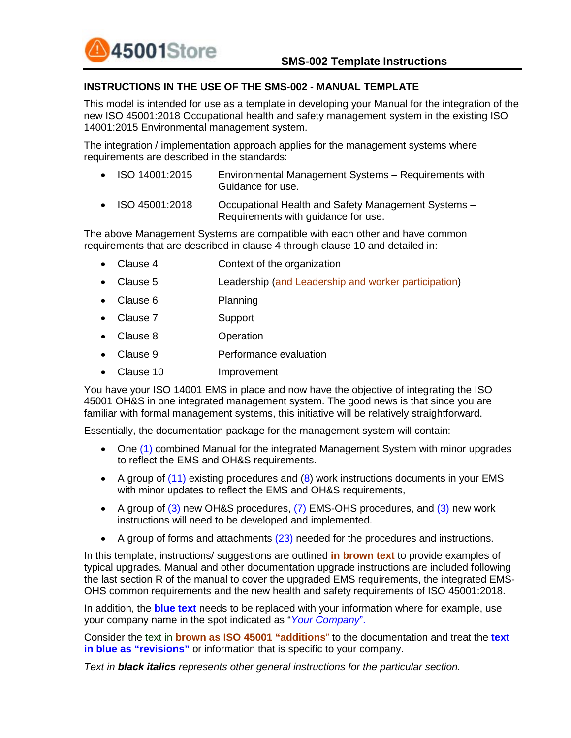

#### **INSTRUCTIONS IN THE USE OF THE SMS-002 - MANUAL TEMPLATE**

This model is intended for use as a template in developing your Manual for the integration of the new ISO 45001:2018 Occupational health and safety management system in the existing ISO 14001:2015 Environmental management system.

The integration / implementation approach applies for the management systems where requirements are described in the standards:

- ISO 14001:2015 Environmental Management Systems Requirements with Guidance for use.
- ISO 45001:2018 Cocupational Health and Safety Management Systems -Requirements with guidance for use.

The above Management Systems are compatible with each other and have common requirements that are described in clause 4 through clause 10 and detailed in:

- Clause 4 Context of the organization
- Clause 5 Leadership (and Leadership and worker participation)
- Clause 6 Planning
- Clause 7 Support
- Clause 8 Operation
- Clause 9 Performance evaluation
- Clause 10 Improvement

You have your ISO 14001 EMS in place and now have the objective of integrating the ISO 45001 OH&S in one integrated management system. The good news is that since you are familiar with formal management systems, this initiative will be relatively straightforward.

Essentially, the documentation package for the management system will contain:

- One (1) combined Manual for the integrated Management System with minor upgrades to reflect the EMS and OH&S requirements.
- A group of (11) existing procedures and (8) work instructions documents in your EMS with minor updates to reflect the EMS and OH&S requirements,
- A group of (3) new OH&S procedures, (7) EMS-OHS procedures, and (3) new work instructions will need to be developed and implemented.
- A group of forms and attachments (23) needed for the procedures and instructions.

In this template, instructions/ suggestions are outlined **in brown text** to provide examples of typical upgrades. Manual and other documentation upgrade instructions are included following the last section R of the manual to cover the upgraded EMS requirements, the integrated EMS-OHS common requirements and the new health and safety requirements of ISO 45001:2018.

In addition, the **blue text** needs to be replaced with your information where for example, use your company name in the spot indicated as "*Your Company*".

Consider the text in **brown as ISO 45001 "additions**" to the documentation and treat the **text in blue as "revisions"** or information that is specific to your company.

*Text in black italics represents other general instructions for the particular section.*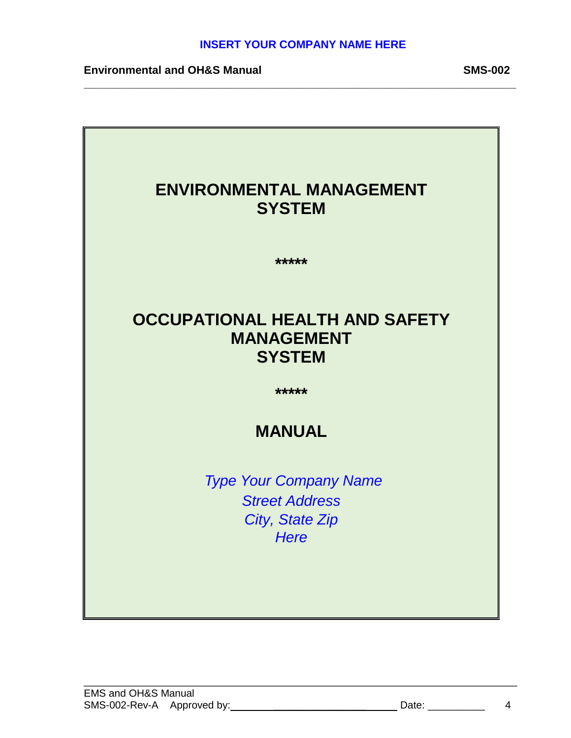**\_\_\_\_\_\_\_\_\_\_\_\_\_\_\_\_\_\_\_\_\_\_\_\_\_\_\_\_\_\_\_\_\_\_\_\_\_\_\_\_\_\_\_\_\_\_\_\_\_\_\_\_\_\_\_\_\_\_\_\_\_\_\_\_\_\_\_\_\_**

**Environmental and OH&S Manual SMS-002** 

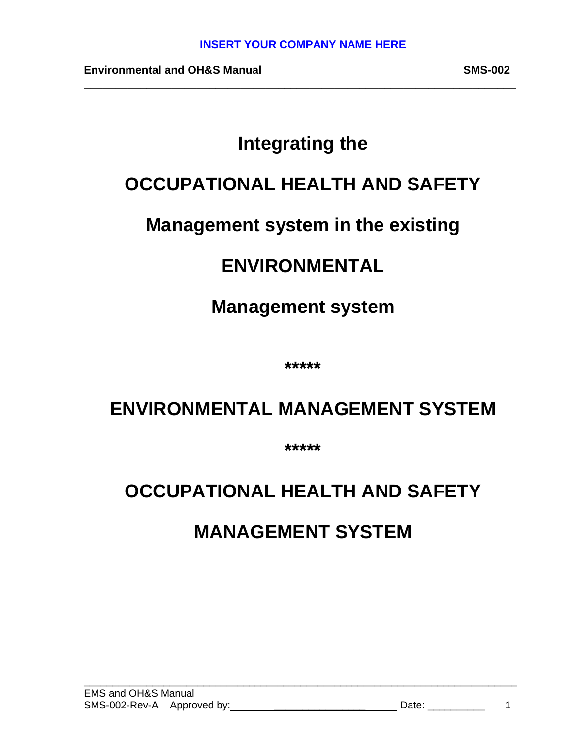**\_\_\_\_\_\_\_\_\_\_\_\_\_\_\_\_\_\_\_\_\_\_\_\_\_\_\_\_\_\_\_\_\_\_\_\_\_\_\_\_\_\_\_\_\_\_\_\_\_\_\_\_\_\_\_\_\_\_\_\_\_\_\_\_\_\_\_\_\_**

**Environmental and OH&S Manual SMS-002**

## **Integrating the**

## **OCCUPATIONAL HEALTH AND SAFETY**

## **Management system in the existing**

## **ENVIRONMENTAL**

## **Management system**

**\*\*\*\*\***

## **ENVIRONMENTAL MANAGEMENT SYSTEM**

**\*\*\*\*\***

# **OCCUPATIONAL HEALTH AND SAFETY MANAGEMENT SYSTEM**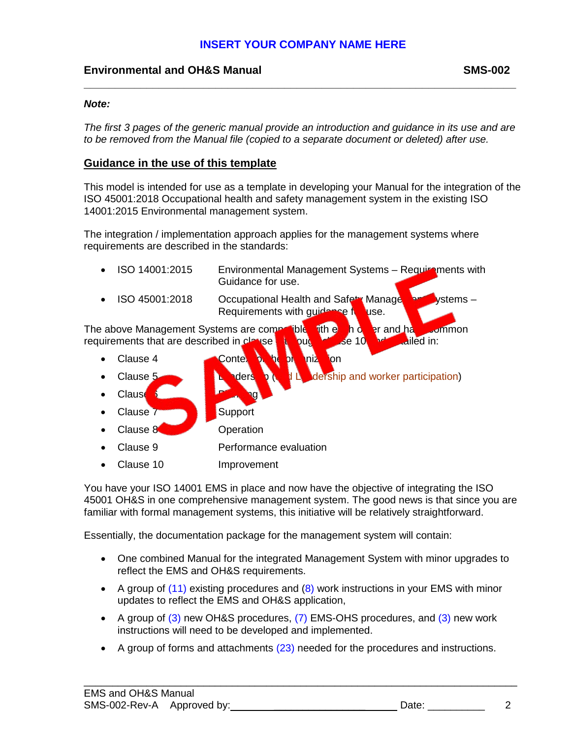#### **Environmental and OH&S Manual SMS-002**

#### *Note:*

*The first 3 pages of the generic manual provide an introduction and guidance in its use and are to be removed from the Manual file (copied to a separate document or deleted) after use.* 

**\_\_\_\_\_\_\_\_\_\_\_\_\_\_\_\_\_\_\_\_\_\_\_\_\_\_\_\_\_\_\_\_\_\_\_\_\_\_\_\_\_\_\_\_\_\_\_\_\_\_\_\_\_\_\_\_\_\_\_\_\_\_\_\_\_\_\_\_\_**

#### **Guidance in the use of this template**

This model is intended for use as a template in developing your Manual for the integration of the ISO 45001:2018 Occupational health and safety management system in the existing ISO 14001:2015 Environmental management system.

The integration / implementation approach applies for the management systems where requirements are described in the standards:

| ISO 14001:2015<br>$\bullet$                                                              | Environmental Management Systems - Requirements with<br>Guidance for use.                                    |
|------------------------------------------------------------------------------------------|--------------------------------------------------------------------------------------------------------------|
| ISO 45001:2018                                                                           | $v$ stems $-$<br>Occupational Health and Safety Manage<br>Requirements with guidance f<br>use.               |
| The above Management Systems are compolible<br>requirements that are described in clause | er and ha<br><b>fith e</b><br>ho<br><b>Common</b><br>ailed in:<br>$\mathsf{\scriptstyle{JSe}}$ 10<br>pu<br>A |
| Clause 4<br>$\bullet$                                                                    | П<br><b>mi</b><br>Conte.<br><b>D</b><br>ion<br>$\bullet$                                                     |
| Clause 5                                                                                 | <b>ders</b><br>dership and worker participation)                                                             |
| <b>Claus</b>                                                                             |                                                                                                              |
| Clause 7                                                                                 | Support                                                                                                      |
| Clause 8                                                                                 | Operation                                                                                                    |
| Clause 9                                                                                 | Performance evaluation                                                                                       |
| Clause 10                                                                                | Improvement                                                                                                  |

You have your ISO 14001 EMS in place and now have the objective of integrating the ISO 45001 OH&S in one comprehensive management system. The good news is that since you are familiar with formal management systems, this initiative will be relatively straightforward.

Essentially, the documentation package for the management system will contain:

- One combined Manual for the integrated Management System with minor upgrades to reflect the EMS and OH&S requirements.
- A group of  $(11)$  existing procedures and  $(8)$  work instructions in your EMS with minor updates to reflect the EMS and OH&S application,
- A group of  $(3)$  new OH&S procedures,  $(7)$  EMS-OHS procedures, and  $(3)$  new work instructions will need to be developed and implemented.
- A group of forms and attachments (23) needed for the procedures and instructions.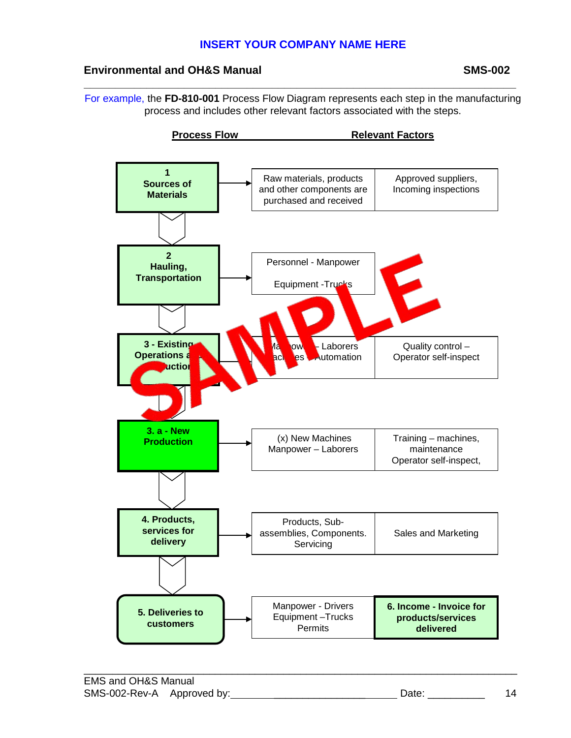#### **Environmental and OH&S Manual SMS-002**

For example, the **FD-810-001** Process Flow Diagram represents each step in the manufacturing process and includes other relevant factors associated with the steps.

**\_\_\_\_\_\_\_\_\_\_\_\_\_\_\_\_\_\_\_\_\_\_\_\_\_\_\_\_\_\_\_\_\_\_\_\_\_\_\_\_\_\_\_\_\_\_\_\_\_\_\_\_\_\_\_\_\_\_\_\_\_\_\_\_\_\_\_\_\_**

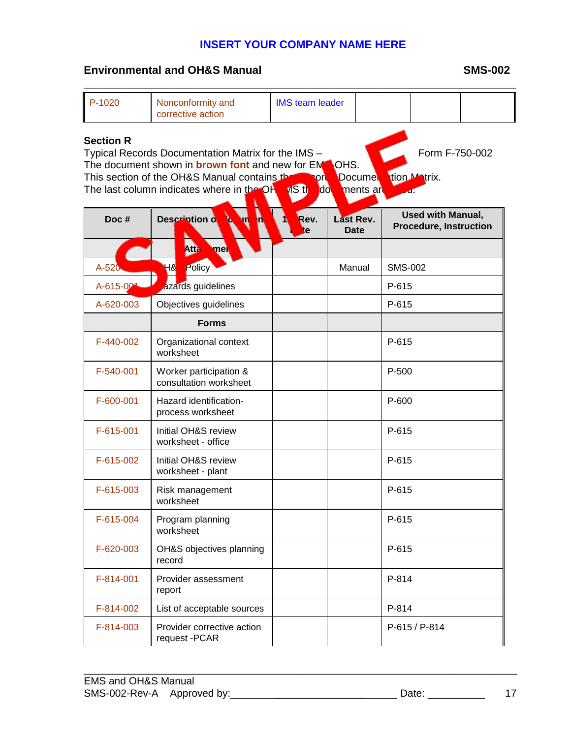**\_\_\_\_\_\_\_\_\_\_\_\_\_\_\_\_\_\_\_\_\_\_\_\_\_\_\_\_\_\_\_\_\_\_\_\_\_\_\_\_\_\_\_\_\_\_\_\_\_\_\_\_\_\_\_\_\_\_\_\_\_\_\_\_\_\_\_\_\_**

#### **Environmental and OH&S Manual SMS-002**

| P-1020                                                                                                                                                                                                                                                                                                                                                   | Nonconformity and<br>corrective action           | <b>IMS team leader</b> |                          |  |                                                           |               |  |
|----------------------------------------------------------------------------------------------------------------------------------------------------------------------------------------------------------------------------------------------------------------------------------------------------------------------------------------------------------|--------------------------------------------------|------------------------|--------------------------|--|-----------------------------------------------------------|---------------|--|
| <b>Section R</b><br>Form F-750-002<br>Typical Records Documentation Matrix for the IMS -<br>The document shown in <b>brown font</b> and new for EM<br>OHS.<br>This section of the OH&S Manual contains the<br><b>Ition Matrix.</b><br><b>Docume</b><br><b>TOP</b><br>do,<br>The last column indicates where in the OH<br><b>VIS th</b><br>ments ar<br>a. |                                                  |                        |                          |  |                                                           |               |  |
| Doc#                                                                                                                                                                                                                                                                                                                                                     | Description of<br>п                              | Rev.<br>te             | <b>Last Rev.</b><br>Date |  | <b>Used with Manual,</b><br><b>Procedure, Instruction</b> |               |  |
|                                                                                                                                                                                                                                                                                                                                                          | <b>Atta</b><br>mel                               |                        |                          |  |                                                           |               |  |
| A-520                                                                                                                                                                                                                                                                                                                                                    | Policy<br>ყ8                                     |                        | Manual                   |  | <b>SMS-002</b>                                            |               |  |
| A-615-00                                                                                                                                                                                                                                                                                                                                                 | azards guidelines                                |                        |                          |  | P-615                                                     |               |  |
| A-620-003                                                                                                                                                                                                                                                                                                                                                | Objectives guidelines                            |                        |                          |  | P-615                                                     |               |  |
|                                                                                                                                                                                                                                                                                                                                                          | <b>Forms</b>                                     |                        |                          |  |                                                           |               |  |
| F-440-002                                                                                                                                                                                                                                                                                                                                                | Organizational context<br>worksheet              |                        |                          |  | P-615                                                     |               |  |
| F-540-001                                                                                                                                                                                                                                                                                                                                                | Worker participation &<br>consultation worksheet |                        |                          |  | P-500                                                     |               |  |
| F-600-001                                                                                                                                                                                                                                                                                                                                                | Hazard identification-<br>process worksheet      |                        |                          |  | P-600                                                     |               |  |
| F-615-001                                                                                                                                                                                                                                                                                                                                                | Initial OH&S review<br>worksheet - office        |                        |                          |  | P-615                                                     |               |  |
| F-615-002                                                                                                                                                                                                                                                                                                                                                | Initial OH&S review<br>worksheet - plant         |                        |                          |  | P-615                                                     |               |  |
| F-615-003                                                                                                                                                                                                                                                                                                                                                | Risk management<br>worksheet                     |                        |                          |  | P-615                                                     |               |  |
| F-615-004                                                                                                                                                                                                                                                                                                                                                | Program planning<br>worksheet                    |                        |                          |  | P-615                                                     |               |  |
| F-620-003                                                                                                                                                                                                                                                                                                                                                | OH&S objectives planning<br>record               |                        |                          |  | P-615                                                     |               |  |
| F-814-001                                                                                                                                                                                                                                                                                                                                                | Provider assessment<br>report                    |                        |                          |  | P-814                                                     |               |  |
| F-814-002                                                                                                                                                                                                                                                                                                                                                | List of acceptable sources                       |                        |                          |  | P-814                                                     |               |  |
| F-814-003                                                                                                                                                                                                                                                                                                                                                | Provider corrective action<br>request - PCAR     |                        |                          |  |                                                           | P-615 / P-814 |  |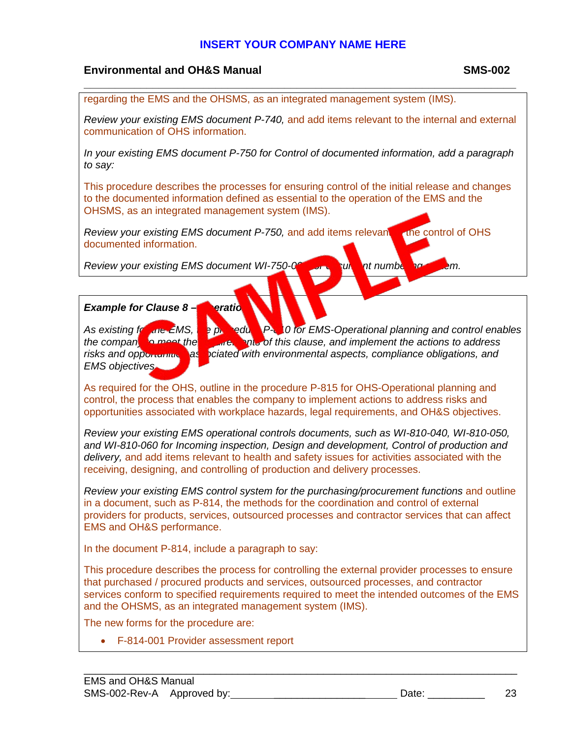#### **Environmental and OH&S Manual SMS-002**

regarding the EMS and the OHSMS, as an integrated management system (IMS).

*Review your existing EMS document P-740,* and add items relevant to the internal and external communication of OHS information.

**\_\_\_\_\_\_\_\_\_\_\_\_\_\_\_\_\_\_\_\_\_\_\_\_\_\_\_\_\_\_\_\_\_\_\_\_\_\_\_\_\_\_\_\_\_\_\_\_\_\_\_\_\_\_\_\_\_\_\_\_\_\_\_\_\_\_\_\_\_**

*In your existing EMS document P-750 for Control of documented information, add a paragraph to say:*

This procedure describes the processes for ensuring control of the initial release and changes to the documented information defined as essential to the operation of the EMS and the OHSMS, as an integrated management system (IMS).

*Review your existing EMS document P-750, and add items relevant to the control of OHS* documented information.

*Review your existing EMS document WI-750-001 for document numbering system.* 

#### *Example for Clause 8 – Operation:*

*EMS objectives.*

As existing for the EMS, the procedure P-810 for EMS-Operational planning and control enables the companium procedure state and procedure and implement the actions to address *the compary of this clause, and implement the actions to address* risks and opportunities as ociated with environmental aspects, compliance obligations, and

As required for the OHS, outline in the procedure P-815 for OHS-Operational planning and control, the process that enables the company to implement actions to address risks and opportunities associated with workplace hazards, legal requirements, and OH&S objectives.

*Review your existing EMS operational controls documents, such as WI-810-040, WI-810-050, and WI-810-060 for Incoming inspection, Design and development, Control of production and delivery,* and add items relevant to health and safety issues for activities associated with the receiving, designing, and controlling of production and delivery processes.

*Review your existing EMS control system for the purchasing/procurement functions* and outline in a document, such as P-814, the methods for the coordination and control of external providers for products, services, outsourced processes and contractor services that can affect EMS and OH&S performance.

In the document P-814, include a paragraph to say:

This procedure describes the process for controlling the external provider processes to ensure that purchased / procured products and services, outsourced processes, and contractor services conform to specified requirements required to meet the intended outcomes of the EMS and the OHSMS, as an integrated management system (IMS).

\_\_\_\_\_\_\_\_\_\_\_\_\_\_\_\_\_\_\_\_\_\_\_\_\_\_\_\_\_\_\_\_\_\_\_\_\_\_\_\_\_\_\_\_\_\_\_\_\_\_\_\_\_\_\_\_\_\_\_\_\_\_\_\_\_\_\_\_\_\_\_\_\_\_\_\_

The new forms for the procedure are:

• F-814-001 Provider assessment report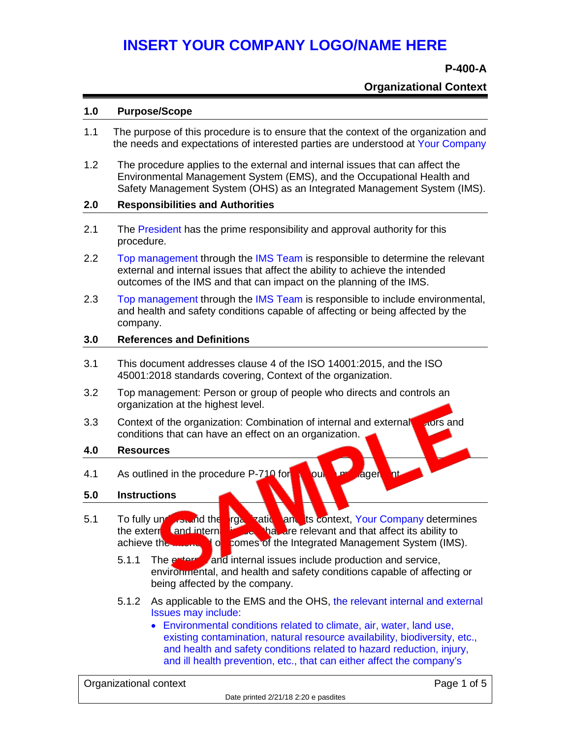#### **P-400-A**

#### **Organizational Context**

#### **1.0 Purpose/Scope**

- 1.1 The purpose of this procedure is to ensure that the context of the organization and the needs and expectations of interested parties are understood at Your Company
- 1.2 The procedure applies to the external and internal issues that can affect the Environmental Management System (EMS), and the Occupational Health and Safety Management System (OHS) as an Integrated Management System (IMS).

#### **2.0 Responsibilities and Authorities**

- 2.1 The President has the prime responsibility and approval authority for this procedure.
- 2.2 Top management through the IMS Team is responsible to determine the relevant external and internal issues that affect the ability to achieve the intended outcomes of the IMS and that can impact on the planning of the IMS.
- 2.3 Top management through the IMS Team is responsible to include environmental, and health and safety conditions capable of affecting or being affected by the company.

#### **3.0 References and Definitions**

- 3.1 This document addresses clause 4 of the ISO 14001:2015, and the ISO 45001:2018 standards covering, Context of the organization.
- 3.2 Top management: Person or group of people who directs and controls an organization at the highest level.
- 3.3 Context of the organization: Combination of internal and external strong and conditions that can have an effect on an organization.

#### **4.0 Resources**

4.1 As outlined in the procedure P-710 for Resource management

#### **5.0 Instructions**

- 5.1 To fully understand the organization and its context, Your Company determines the external and internal issues that are relevant and that affect its ability to achieve the **integration of the Integrated Management System (IMS).** 
	- 5.1.1 The external and internal issues include production and service, environmental, and health and safety conditions capable of affecting or being affected by the company.
	- 5.1.2 As applicable to the EMS and the OHS, the relevant internal and external Issues may include:
		- Environmental conditions related to climate, air, water, land use, existing contamination, natural resource availability, biodiversity, etc., and health and safety conditions related to hazard reduction, injury, and ill health prevention, etc., that can either affect the company's

Organizational context Page 1 of 5 Date printed 2/21/18 2:20 e pasdites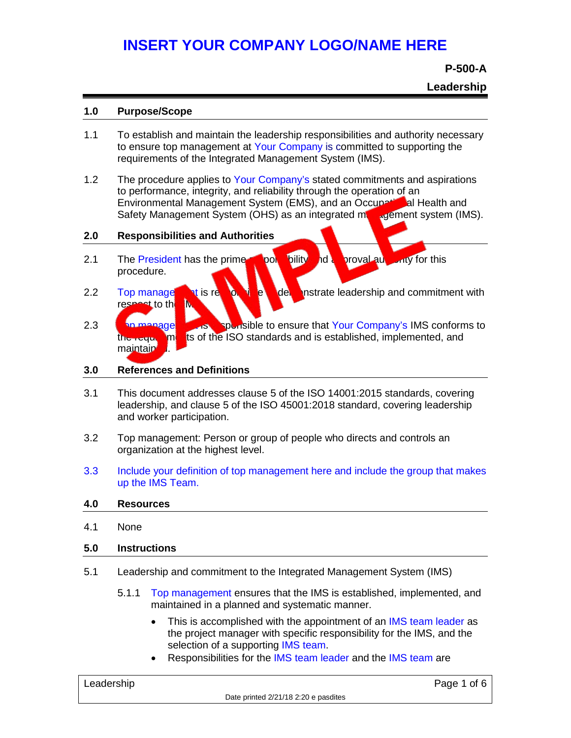**P-500-A**

**Leadership**

#### **1.0 Purpose/Scope**

- 1.1 To establish and maintain the leadership responsibilities and authority necessary to ensure top management at Your Company is committed to supporting the requirements of the Integrated Management System (IMS).
- 1.2 The procedure applies to Your Company's stated commitments and aspirations to performance, integrity, and reliability through the operation of an Environmental Management System (EMS), and an Occupational Health and Safety Management System (OHS) as an integrated management system (IMS).

#### **2.0 Responsibilities and Authorities**

- 2.1 The President has the prime sponsibility and a proval authority for this procedure.
- 2.2 Top manage to the to the demonstrate leadership and commitment with respect to the
- 2.3 Top managements of sponsible to ensure that Your Company's IMS conforms to ts of the ISO standards and is established, implemented, and maintain

#### **3.0 References and Definitions**

- 3.1 This document addresses clause 5 of the ISO 14001:2015 standards, covering leadership, and clause 5 of the ISO 45001:2018 standard, covering leadership and worker participation.
- 3.2 Top management: Person or group of people who directs and controls an organization at the highest level.
- 3.3 Include your definition of top management here and include the group that makes up the IMS Team.

#### **4.0 Resources**

4.1 None

#### **5.0 Instructions**

- 5.1 Leadership and commitment to the Integrated Management System (IMS)
	- 5.1.1 Top management ensures that the IMS is established, implemented, and maintained in a planned and systematic manner.
		- This is accomplished with the appointment of an IMS team leader as the project manager with specific responsibility for the IMS, and the selection of a supporting IMS team.
		- Responsibilities for the IMS team leader and the IMS team are

| Leadership |
|------------|
|------------|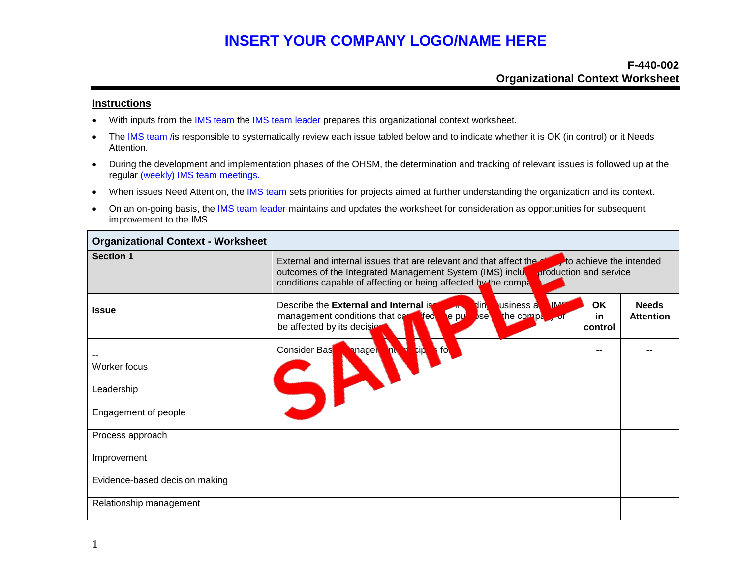#### **F-440-002 Organizational Context Worksheet**

#### **Instructions**

- With inputs from the IMS team the IMS team leader prepares this organizational context worksheet.
- The IMS team /is responsible to systematically review each issue tabled below and to indicate whether it is OK (in control) or it Needs Attention.
- During the development and implementation phases of the OHSM, the determination and tracking of relevant issues is followed up at the regular (weekly) IMS team meetings.
- When issues Need Attention, the IMS team sets priorities for projects aimed at further understanding the organization and its context.
- On an on-going basis, the IMS team leader maintains and updates the worksheet for consideration as opportunities for subsequent improvement to the IMS.

| <b>Organizational Context - Worksheet</b> |                                                                                                                                                                                                                             |                         |                                  |  |  |
|-------------------------------------------|-----------------------------------------------------------------------------------------------------------------------------------------------------------------------------------------------------------------------------|-------------------------|----------------------------------|--|--|
| <b>Section 1</b>                          | External and internal issues that are relevant and that affect the<br>production and service<br>outcomes of the Integrated Management System (IMS) inclu<br>conditions capable of affecting or being affected by the comple | to achieve the intended |                                  |  |  |
| <b>Issue</b>                              | Describe the External and Internal is<br><b>IM</b><br><b>usiness</b> a<br><b>Tin</b><br>epu<br>the comple<br>management conditions that car<br><b>Ted</b><br>bse<br>be affected by its decision                             | OK<br>in.<br>control    | <b>Needs</b><br><b>Attention</b> |  |  |
|                                           | <b>II</b><br>$\mathbf{a}$<br><b>Consider Bas</b><br><b>anagel</b><br>T.                                                                                                                                                     | --                      |                                  |  |  |
| Worker focus                              |                                                                                                                                                                                                                             |                         |                                  |  |  |
| Leadership                                |                                                                                                                                                                                                                             |                         |                                  |  |  |
| Engagement of people                      |                                                                                                                                                                                                                             |                         |                                  |  |  |
| Process approach                          |                                                                                                                                                                                                                             |                         |                                  |  |  |
| Improvement                               |                                                                                                                                                                                                                             |                         |                                  |  |  |
| Evidence-based decision making            |                                                                                                                                                                                                                             |                         |                                  |  |  |
| Relationship management                   |                                                                                                                                                                                                                             |                         |                                  |  |  |